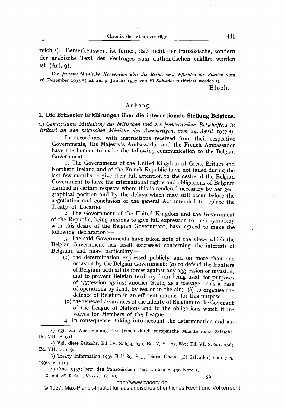Chronik der Staatsverträge

reich <sup>1</sup>). Bemerkenswert ist ferner, daß nicht der französische, sondern der arabische Text des Vertrages zum authentischen erklärt worden ist  $(Art, q)$ .

Die panamerikanische Konvention über die Rechte und Pflichten der Staaten vom 26. Dezember 1933 <sup>2</sup>) ist am 9. Januar 1937 von El Salvador ratifiziert worden 3).

Bloch.

## Anhang.

## 1. Die Brüsseler Erklärungen über die internationale Stellung Belgiens.

a) Gemeinsame Mitteilung des britischen und des Iranzüsischen Botschafters in Brüssel an den belgischen Minister des Auswärtigen, vom 24. April 1937 4).

In accordance with instructions received from their respective Governments, His Majesty's Ambassador and the French Ambassador have the honour to make the following communication to the Belgian Government.-

i. The Governments of the United Kingdom of Great Britain and Northern Ireland and of the French Republic have not failed during the last few months to give their full attention to the desire of the Belgian Government to have the international rights and obligations of Belgium clarified in certain respects where this is rendered necessary by her geographical position and by the delays which may still occur before the negotiation and conclusion of the general Act intended to replace the Treaty of Locarno.

2. The Government of the United Kingdom and the Government of the Republic, being anxious to give full expression to their sympathy with this desire of the Belgian Government, have agreed to make the following declaration:-

3. The said Governments have taken note of the views which the Belgian Government has itself expressed concerning the interests of Belgium, and more particulary-

- (I) the determination expressed publicly and on more than one occasion by the Belgian Government: (a) to defend the frontiers of Belgium with all its forces against any aggression or invasion, and to prevent Belgian territory from being used, for purposes of aggression against another State, as a passage or as a base of operations by land, by sea or in the air;  $(b)$  to organise the defence of Belgium in an efficient manner for this purpose;
- (2) the renewed assurances of the fidelity of Belgium to the Covenant of the League of Nations and to the obligations which it involves for Members of the League.

4. In consequence, taking into account the determination and as-

<sup>2</sup>) Vgl. diese Zeitschr. Bd. IV, S. 634, 650; Bd. V, S. 403, 869; Bd. VI, S. 601, 756; Bd. VII, S. <sup>i</sup> 19.

3) Treaty Information 1937 Bull. 89, S. 5; Diario Oficial (El Salvador) vom 7.5. 1936, S. 1414.

4) Cmd. 5437; betr. den franz6sischen Text s. oben S- 43o Note i.

Z. ausf. dff. Recht u. V61kerr, Bd. VT. 29

<http://www.zaoerv.de> © 1937, Max-Planck-Institut für ausländisches öffentliches Recht und Völkerrecht

<sup>1)</sup> Vgl. zur Anerkennung des Jemen durch europäische Mächte diese Zeitschr. Bd. VII, S. 9of.